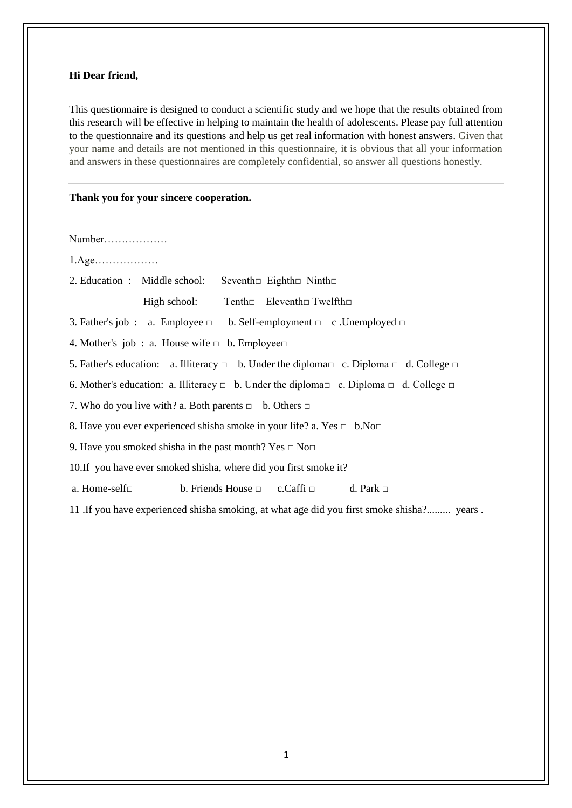## **Hi Dear friend,**

This questionnaire is designed to conduct a scientific study and we hope that the results obtained from this research will be effective in helping to maintain the health of adolescents. Please pay full attention to the questionnaire and its questions and help us get real information with honest answers. Given that your name and details are not mentioned in this questionnaire, it is obvious that all your information and answers in these questionnaires are completely confidential, so answer all questions honestly.

## **Thank you for your sincere cooperation.**

Number………………

- 1.Age………………
- 2. Education : Middle school: Seventh□ Eighth□ Ninth□

High school: Tenth□ Eleventh□ Twelfth□

3. Father's job : a. Employee  $\Box$  b. Self-employment  $\Box$  c. Unemployed  $\Box$ 

4. Mother's job : a. House wife □ b. Employee□

5. Father's education: a. Illiteracy  $\Box$  b. Under the diploma $\Box$  c. Diploma  $\Box$  d. College  $\Box$ 

6. Mother's education: a. Illiteracy  $\Box$  b. Under the diploma $\Box$  c. Diploma  $\Box$  d. College  $\Box$ 

7. Who do you live with? a. Both parents  $\Box$  b. Others  $\Box$ 

8. Have you ever experienced shisha smoke in your life? a. Yes □ b.No□

9. Have you smoked shisha in the past month? Yes  $\Box$  No $\Box$ 

10.If you have ever smoked shisha, where did you first smoke it?

a. Home-self $\Box$  b. Friends House  $\Box$  c. Caffi  $\Box$  d. Park  $\Box$ 

11 .If you have experienced shisha smoking, at what age did you first smoke shisha?......... years .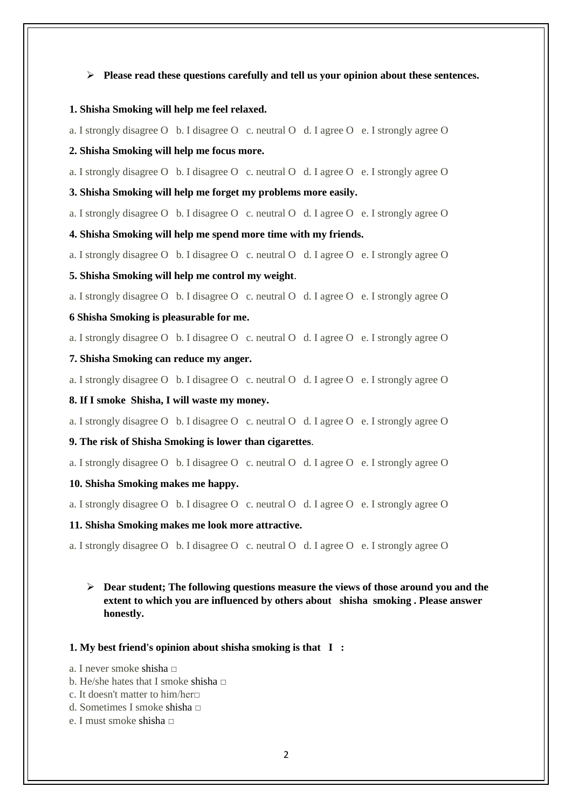### ➢ **Please read these questions carefully and tell us your opinion about these sentences.**

### **1. Shisha Smoking will help me feel relaxed.**

a. I strongly disagree O b. I disagree O c. neutral O d. I agree O e. I strongly agree O

### **2. Shisha Smoking will help me focus more.**

a. I strongly disagree O b. I disagree O c. neutral O d. I agree O e. I strongly agree O

#### **3. Shisha Smoking will help me forget my problems more easily.**

a. I strongly disagree O b. I disagree O c. neutral O d. I agree O e. I strongly agree O

### **4. Shisha Smoking will help me spend more time with my friends.**

a. I strongly disagree O b. I disagree O c. neutral O d. I agree O e. I strongly agree O

### **5. Shisha Smoking will help me control my weight**.

a. I strongly disagree O b. I disagree O c. neutral O d. I agree O e. I strongly agree O

# **6 Shisha Smoking is pleasurable for me.**

a. I strongly disagree O b. I disagree O c. neutral O d. I agree O e. I strongly agree O

**7. Shisha Smoking can reduce my anger.**

a. I strongly disagree O b. I disagree O c. neutral O d. I agree O e. I strongly agree O

### **8. If I smoke Shisha, I will waste my money.**

a. I strongly disagree O b. I disagree O c. neutral O d. I agree O e. I strongly agree O

### **9. The risk of Shisha Smoking is lower than cigarettes**.

a. I strongly disagree O b. I disagree O c. neutral O d. I agree O e. I strongly agree O

## **10. Shisha Smoking makes me happy.**

a. I strongly disagree O b. I disagree O c. neutral O d. I agree O e. I strongly agree O

### **11. Shisha Smoking makes me look more attractive.**

a. I strongly disagree O b. I disagree O c. neutral O d. I agree O e. I strongly agree O

# ➢ **Dear student; The following questions measure the views of those around you and the extent to which you are influenced by others about shisha smoking . Please answer honestly.**

#### **1. My best friend's opinion about shisha smoking is that I :**

- a. I never smoke shisha  $□$
- b. He/she hates that I smoke shisha  $\Box$
- c. It doesn't matter to him/her $\Box$
- d. Sometimes I smoke shisha □
- e. I must smoke shisha  $□$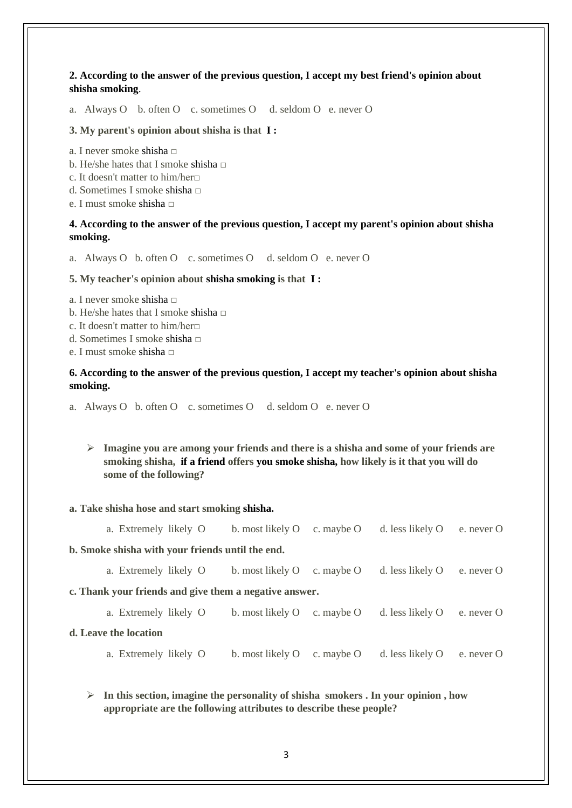**2. According to the answer of the previous question, I accept my best friend's opinion about shisha smoking**.

a. Always O b. often O c. sometimes O d. seldom O e. never O

### **3. My parent's opinion about shisha is that I :**

- a. I never smoke shisha □
- b. He/she hates that I smoke shisha  $\Box$
- c. It doesn't matter to him/her $\Box$
- d. Sometimes I smoke shisha  $□$
- e. I must smoke shisha  $□$

# **4. According to the answer of the previous question, I accept my parent's opinion about shisha smoking.**

a. Always O b. often O c. sometimes O d. seldom O e. never O

### **5. My teacher's opinion about shisha smoking is that I :**

- a. I never smoke shisha  $□$
- b. He/she hates that I smoke shisha  $□$
- c. It doesn't matter to him/her□
- d. Sometimes I smoke shisha  $\Box$
- e. I must smoke shisha  $\Box$

# **6. According to the answer of the previous question, I accept my teacher's opinion about shisha smoking.**

- a. Always O b. often O c. sometimes O d. seldom O e. never O
	- ➢ **Imagine you are among your friends and there is a shisha and some of your friends are smoking shisha, if a friend offers you smoke shisha, how likely is it that you will do some of the following?**

### **a. Take shisha hose and start smoking shisha.**

|                                                        | a. Extremely likely O | b. most likely O | c. maybe O | d. less likely O | e. never O        |  |  |  |  |
|--------------------------------------------------------|-----------------------|------------------|------------|------------------|-------------------|--|--|--|--|
| b. Smoke shisha with your friends until the end.       |                       |                  |            |                  |                   |  |  |  |  |
|                                                        | a. Extremely likely O | b. most likely O | c. maybe O | d. less likely O | e. never $\Omega$ |  |  |  |  |
| c. Thank your friends and give them a negative answer. |                       |                  |            |                  |                   |  |  |  |  |
|                                                        | a. Extremely likely O | b. most likely O | c. maybe O | d. less likely O | e. never $\Omega$ |  |  |  |  |
| d. Leave the location                                  |                       |                  |            |                  |                   |  |  |  |  |
|                                                        | a. Extremely likely O | b. most likely O | c. maybe O | d. less likely O | e. never O        |  |  |  |  |
|                                                        |                       |                  |            |                  |                   |  |  |  |  |

# ➢ **In this section, imagine the personality of shisha smokers . In your opinion , how appropriate are the following attributes to describe these people?**